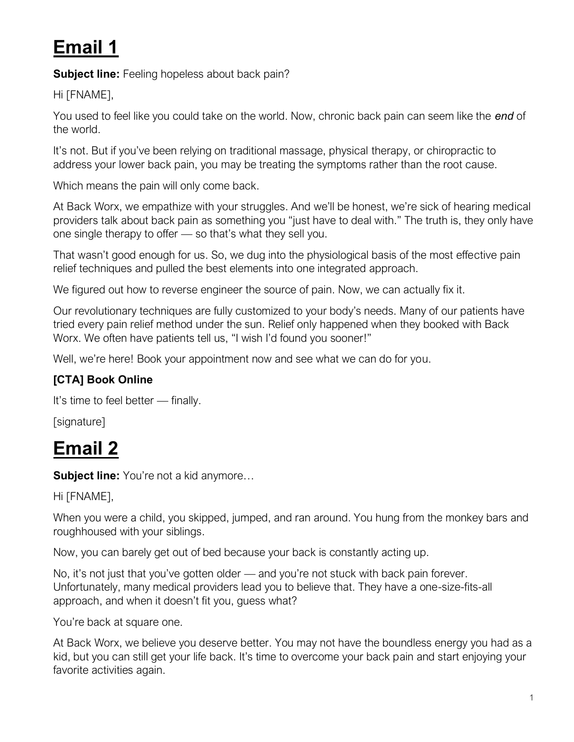# **Email 1**

**Subject line:** Feeling hopeless about back pain?

Hi [FNAME],

You used to feel like you could take on the world. Now, chronic back pain can seem like the *end* of the world.

It's not. But if you've been relying on traditional massage, physical therapy, or chiropractic to address your lower back pain, you may be treating the symptoms rather than the root cause.

Which means the pain will only come back.

At Back Worx, we empathize with your struggles. And we'll be honest, we're sick of hearing medical providers talk about back pain as something you "just have to deal with." The truth is, they only have one single therapy to offer — so that's what they sell you.

That wasn't good enough for us. So, we dug into the physiological basis of the most effective pain relief techniques and pulled the best elements into one integrated approach.

We figured out how to reverse engineer the source of pain. Now, we can actually fix it.

Our revolutionary techniques are fully customized to your body's needs. Many of our patients have tried every pain relief method under the sun. Relief only happened when they booked with Back Worx. We often have patients tell us, "I wish I'd found you sooner!"

Well, we're here! Book your appointment now and see what we can do for you.

### **[CTA] Book Online**

It's time to feel better — finally.

[signature]

## **Email 2**

**Subject line:** You're not a kid anymore…

Hi [FNAME],

When you were a child, you skipped, jumped, and ran around. You hung from the monkey bars and roughhoused with your siblings.

Now, you can barely get out of bed because your back is constantly acting up.

No, it's not just that you've gotten older — and you're not stuck with back pain forever. Unfortunately, many medical providers lead you to believe that. They have a one-size-fits-all approach, and when it doesn't fit you, guess what?

You're back at square one.

At Back Worx, we believe you deserve better. You may not have the boundless energy you had as a kid, but you can still get your life back. It's time to overcome your back pain and start enjoying your favorite activities again.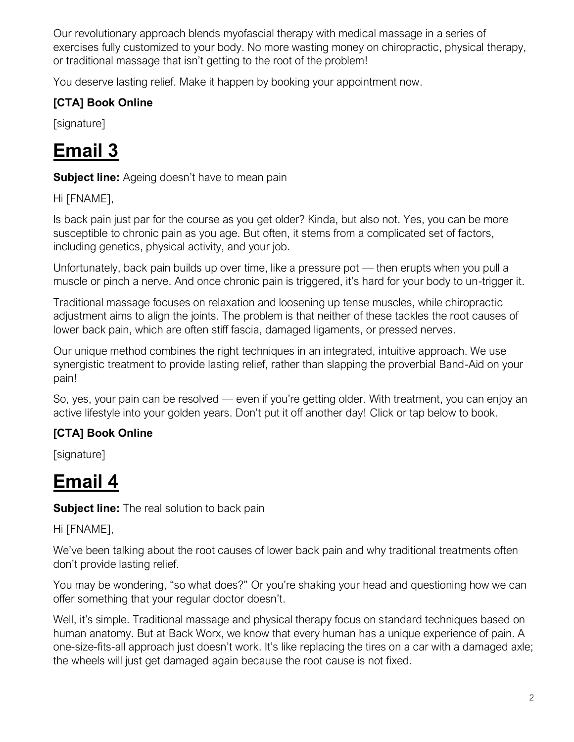Our revolutionary approach blends myofascial therapy with medical massage in a series of exercises fully customized to your body. No more wasting money on chiropractic, physical therapy, or traditional massage that isn't getting to the root of the problem!

You deserve lasting relief. Make it happen by booking your appointment now.

### **[CTA] Book Online**

[signature]

# **Email 3**

**Subject line:** Ageing doesn't have to mean pain

#### Hi [FNAME],

Is back pain just par for the course as you get older? Kinda, but also not. Yes, you can be more susceptible to chronic pain as you age. But often, it stems from a complicated set of factors, including genetics, physical activity, and your job.

Unfortunately, back pain builds up over time, like a pressure pot — then erupts when you pull a muscle or pinch a nerve. And once chronic pain is triggered, it's hard for your body to un-trigger it.

Traditional massage focuses on relaxation and loosening up tense muscles, while chiropractic adjustment aims to align the joints. The problem is that neither of these tackles the root causes of lower back pain, which are often stiff fascia, damaged ligaments, or pressed nerves.

Our unique method combines the right techniques in an integrated, intuitive approach. We use synergistic treatment to provide lasting relief, rather than slapping the proverbial Band-Aid on your pain!

So, yes, your pain can be resolved — even if you're getting older. With treatment, you can enjoy an active lifestyle into your golden years. Don't put it off another day! Click or tap below to book.

### **[CTA] Book Online**

[signature]

# **Email 4**

**Subject line:** The real solution to back pain

Hi [FNAME],

We've been talking about the root causes of lower back pain and why traditional treatments often don't provide lasting relief.

You may be wondering, "so what does?" Or you're shaking your head and questioning how we can offer something that your regular doctor doesn't.

Well, it's simple. Traditional massage and physical therapy focus on standard techniques based on human anatomy. But at Back Worx, we know that every human has a unique experience of pain. A one-size-fits-all approach just doesn't work. It's like replacing the tires on a car with a damaged axle; the wheels will just get damaged again because the root cause is not fixed.